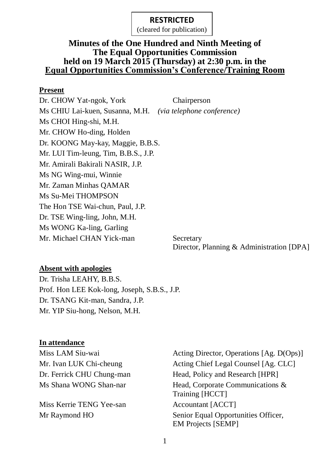(cleared for publication)

## **Minutes of the One Hundred and Ninth Meeting of The Equal Opportunities Commission held on 19 March 2015 (Thursday) at 2:30 p.m. in the Equal Opportunities Commission's Conference/Training Room**

#### **Present**

Dr. CHOW Yat-ngok, York Chairperson Ms CHIU Lai-kuen, Susanna, M.H. *(via telephone conference)* Ms CHOI Hing-shi, M.H. Mr. CHOW Ho-ding, Holden Dr. KOONG May-kay, Maggie, B.B.S. Mr. LUI Tim-leung, Tim, B.B.S., J.P. Mr. Amirali Bakirali NASIR, J.P. Ms NG Wing-mui, Winnie Mr. Zaman Minhas QAMAR Ms Su-Mei THOMPSON The Hon TSE Wai-chun, Paul, J.P. Dr. TSE Wing-ling, John, M.H. Ms WONG Ka-ling, Garling Mr. Michael CHAN Yick-man Secretary

Director, Planning & Administration [DPA]

#### **Absent with apologies**

Dr. Trisha LEAHY, B.B.S. Prof. Hon LEE Kok-long, Joseph, S.B.S., J.P. Dr. TSANG Kit-man, Sandra, J.P. Mr. YIP Siu-hong, Nelson, M.H.

#### **In attendance**

Miss Kerrie TENG Yee-san Accountant [ACCT]

Miss LAM Siu-wai Acting Director, Operations [Ag. D(Ops)] Mr. Ivan LUK Chi-cheung Acting Chief Legal Counsel [Ag. CLC] Dr. Ferrick CHU Chung-man Head, Policy and Research [HPR] Ms Shana WONG Shan-nar Head, Corporate Communications & Training [HCCT] Mr Raymond HO Senior Equal Opportunities Officer, EM Projects [SEMP]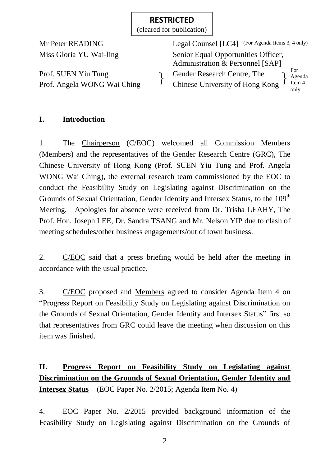(cleared for publication)

Mr Peter READING Legal Counsel [LC4] (For Agenda Items 3, 4 only) Miss Gloria YU Wai-ling Senior Equal Opportunities Officer, Administration & Personnel [SAP] Prof. SUEN Yiu Tung<br>
Prof. Angela WONG Wai China Chinese University of Hong K Prof. Angela WONG Wai Ching Chinese University of Hong Kong For Agenda  $\int$  Item 4 only

## **I. Introduction**

1. The Chairperson (C/EOC) welcomed all Commission Members (Members) and the representatives of the Gender Research Centre (GRC), The Chinese University of Hong Kong (Prof. SUEN Yiu Tung and Prof. Angela WONG Wai Ching), the external research team commissioned by the EOC to conduct the Feasibility Study on Legislating against Discrimination on the Grounds of Sexual Orientation, Gender Identity and Intersex Status, to the 109<sup>th</sup> Meeting. Apologies for absence were received from Dr. Trisha LEAHY, The Prof. Hon. Joseph LEE, Dr. Sandra TSANG and Mr. Nelson YIP due to clash of meeting schedules/other business engagements/out of town business.

2. C/EOC said that a press briefing would be held after the meeting in accordance with the usual practice.

3. C/EOC proposed and Members agreed to consider Agenda Item 4 on "Progress Report on Feasibility Study on Legislating against Discrimination on the Grounds of Sexual Orientation, Gender Identity and Intersex Status" first so that representatives from GRC could leave the meeting when discussion on this item was finished.

# **II. Progress Report on Feasibility Study on Legislating against Discrimination on the Grounds of Sexual Orientation, Gender Identity and Intersex Status** (EOC Paper No. 2/2015; Agenda Item No. 4)

4. EOC Paper No. 2/2015 provided background information of the Feasibility Study on Legislating against Discrimination on the Grounds of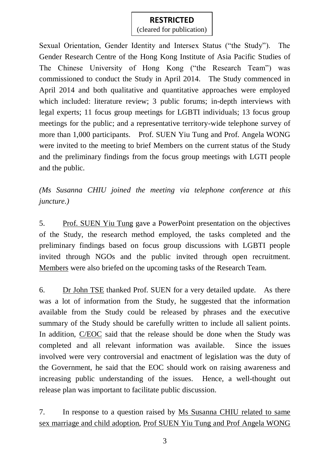## **RESTRICTED** (cleared for publication)

Sexual Orientation, Gender Identity and Intersex Status ("the Study"). The Gender Research Centre of the Hong Kong Institute of Asia Pacific Studies of The Chinese University of Hong Kong ("the Research Team") was commissioned to conduct the Study in April 2014. The Study commenced in April 2014 and both qualitative and quantitative approaches were employed which included: literature review; 3 public forums; in-depth interviews with legal experts; 11 focus group meetings for LGBTI individuals; 13 focus group meetings for the public; and a representative territory-wide telephone survey of more than 1,000 participants. Prof. SUEN Yiu Tung and Prof. Angela WONG were invited to the meeting to brief Members on the current status of the Study and the preliminary findings from the focus group meetings with LGTI people and the public.

*(Ms Susanna CHIU joined the meeting via telephone conference at this juncture.)*

5. Prof. SUEN Yiu Tung gave a PowerPoint presentation on the objectives of the Study, the research method employed, the tasks completed and the preliminary findings based on focus group discussions with LGBTI people invited through NGOs and the public invited through open recruitment. Members were also briefed on the upcoming tasks of the Research Team.

6. Dr John TSE thanked Prof. SUEN for a very detailed update. As there was a lot of information from the Study, he suggested that the information available from the Study could be released by phrases and the executive summary of the Study should be carefully written to include all salient points. In addition, C/EOC said that the release should be done when the Study was completed and all relevant information was available. Since the issues involved were very controversial and enactment of legislation was the duty of the Government, he said that the EOC should work on raising awareness and increasing public understanding of the issues. Hence, a well-thought out release plan was important to facilitate public discussion.

7. In response to a question raised by Ms Susanna CHIU related to same sex marriage and child adoption, Prof SUEN Yiu Tung and Prof Angela WONG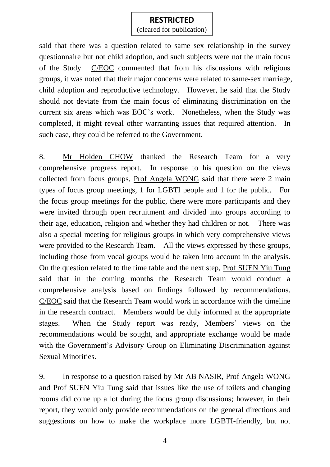(cleared for publication)

said that there was a question related to same sex relationship in the survey questionnaire but not child adoption, and such subjects were not the main focus of the Study. C/EOC commented that from his discussions with religious groups, it was noted that their major concerns were related to same-sex marriage, child adoption and reproductive technology. However, he said that the Study should not deviate from the main focus of eliminating discrimination on the current six areas which was EOC's work. Nonetheless, when the Study was completed, it might reveal other warranting issues that required attention. In such case, they could be referred to the Government.

8. Mr Holden CHOW thanked the Research Team for a very comprehensive progress report. In response to his question on the views collected from focus groups, Prof Angela WONG said that there were 2 main types of focus group meetings, 1 for LGBTI people and 1 for the public. For the focus group meetings for the public, there were more participants and they were invited through open recruitment and divided into groups according to their age, education, religion and whether they had children or not. There was also a special meeting for religious groups in which very comprehensive views were provided to the Research Team. All the views expressed by these groups, including those from vocal groups would be taken into account in the analysis. On the question related to the time table and the next step, Prof SUEN Yiu Tung said that in the coming months the Research Team would conduct a comprehensive analysis based on findings followed by recommendations. C/EOC said that the Research Team would work in accordance with the timeline in the research contract. Members would be duly informed at the appropriate stages. When the Study report was ready, Members' views on the recommendations would be sought, and appropriate exchange would be made with the Government's Advisory Group on Eliminating Discrimination against Sexual Minorities.

9. In response to a question raised by Mr AB NASIR, Prof Angela WONG and Prof SUEN Yiu Tung said that issues like the use of toilets and changing rooms did come up a lot during the focus group discussions; however, in their report, they would only provide recommendations on the general directions and suggestions on how to make the workplace more LGBTI-friendly, but not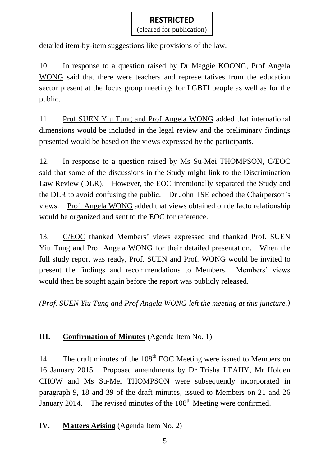(cleared for publication)

detailed item-by-item suggestions like provisions of the law.

10. In response to a question raised by Dr Maggie KOONG, Prof Angela WONG said that there were teachers and representatives from the education sector present at the focus group meetings for LGBTI people as well as for the public.

11. Prof SUEN Yiu Tung and Prof Angela WONG added that international dimensions would be included in the legal review and the preliminary findings presented would be based on the views expressed by the participants.

12. In response to a question raised by Ms Su-Mei THOMPSON, C/EOC said that some of the discussions in the Study might link to the Discrimination Law Review (DLR). However, the EOC intentionally separated the Study and the DLR to avoid confusing the public. Dr John TSE echoed the Chairperson's views. Prof. Angela WONG added that views obtained on de facto relationship would be organized and sent to the EOC for reference.

13. C/EOC thanked Members' views expressed and thanked Prof. SUEN Yiu Tung and Prof Angela WONG for their detailed presentation. When the full study report was ready, Prof. SUEN and Prof. WONG would be invited to present the findings and recommendations to Members. Members' views would then be sought again before the report was publicly released.

*(Prof. SUEN Yiu Tung and Prof Angela WONG left the meeting at this juncture.)*

## **III.** Confirmation of Minutes (Agenda Item No. 1)

14. The draft minutes of the 108<sup>th</sup> EOC Meeting were issued to Members on 16 January 2015. Proposed amendments by Dr Trisha LEAHY, Mr Holden CHOW and Ms Su-Mei THOMPSON were subsequently incorporated in paragraph 9, 18 and 39 of the draft minutes, issued to Members on 21 and 26 January 2014. The revised minutes of the  $108<sup>th</sup>$  Meeting were confirmed.

## **IV. Matters Arising** (Agenda Item No. 2)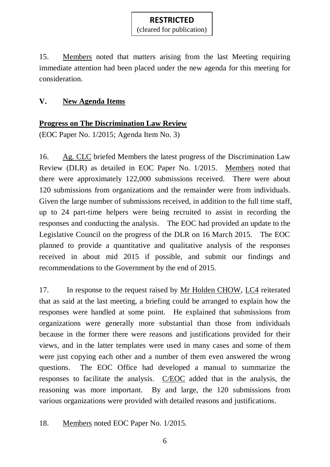(cleared for publication)

15. Members noted that matters arising from the last Meeting requiring immediate attention had been placed under the new agenda for this meeting for consideration.

### **V. New Agenda Items**

## **Progress on The Discrimination Law Review**

(EOC Paper No. 1/2015; Agenda Item No. 3)

16. Ag. CLC briefed Members the latest progress of the Discrimination Law Review (DLR) as detailed in EOC Paper No. 1/2015. Members noted that there were approximately 122,000 submissions received. There were about 120 submissions from organizations and the remainder were from individuals. Given the large number of submissions received, in addition to the full time staff, up to 24 part-time helpers were being recruited to assist in recording the responses and conducting the analysis. The EOC had provided an update to the Legislative Council on the progress of the DLR on 16 March 2015. The EOC planned to provide a quantitative and qualitative analysis of the responses received in about mid 2015 if possible, and submit our findings and recommendations to the Government by the end of 2015.

17. In response to the request raised by Mr Holden CHOW, LC4 reiterated that as said at the last meeting, a briefing could be arranged to explain how the responses were handled at some point. He explained that submissions from organizations were generally more substantial than those from individuals because in the former there were reasons and justifications provided for their views, and in the latter templates were used in many cases and some of them were just copying each other and a number of them even answered the wrong questions. The EOC Office had developed a manual to summarize the responses to facilitate the analysis. C/EOC added that in the analysis, the reasoning was more important. By and large, the 120 submissions from various organizations were provided with detailed reasons and justifications.

18. Members noted EOC Paper No. 1/2015.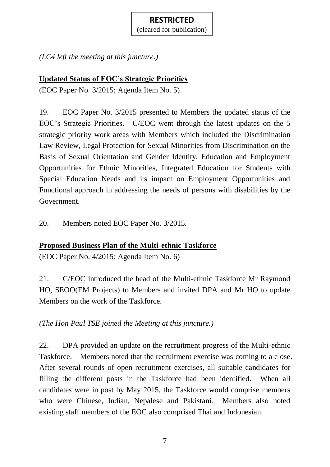(cleared for publication)

*(LC4 left the meeting at this juncture.)*

# **Updated Status of EOC's Strategic Priorities**

(EOC Paper No. 3/2015; Agenda Item No. 5)

19. EOC Paper No. 3/2015 presented to Members the updated status of the EOC's Strategic Priorities. C/EOC went through the latest updates on the 5 strategic priority work areas with Members which included the Discrimination Law Review, Legal Protection for Sexual Minorities from Discrimination on the Basis of Sexual Orientation and Gender Identity, Education and Employment Opportunities for Ethnic Minorities, Integrated Education for Students with Special Education Needs and its impact on Employment Opportunities and Functional approach in addressing the needs of persons with disabilities by the Government.

20. Members noted EOC Paper No. 3/2015.

## **Proposed Business Plan of the Multi-ethnic Taskforce**

(EOC Paper No. 4/2015; Agenda Item No. 6)

21. C/EOC introduced the head of the Multi-ethnic Taskforce Mr Raymond HO, SEOO(EM Projects) to Members and invited DPA and Mr HO to update Members on the work of the Taskforce.

*(The Hon Paul TSE joined the Meeting at this juncture.)*

22. DPA provided an update on the recruitment progress of the Multi-ethnic Taskforce. Members noted that the recruitment exercise was coming to a close. After several rounds of open recruitment exercises, all suitable candidates for filling the different posts in the Taskforce had been identified. When all candidates were in post by May 2015, the Taskforce would comprise members who were Chinese, Indian, Nepalese and Pakistani. Members also noted existing staff members of the EOC also comprised Thai and Indonesian.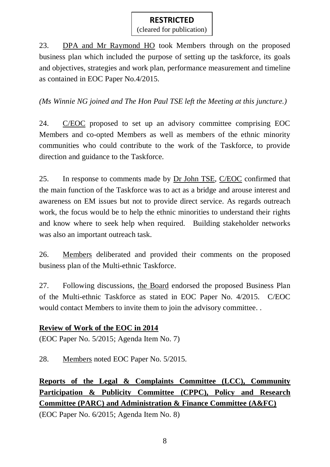(cleared for publication)

23. DPA and Mr Raymond HO took Members through on the proposed business plan which included the purpose of setting up the taskforce, its goals and objectives, strategies and work plan, performance measurement and timeline as contained in EOC Paper No.4/2015.

*(Ms Winnie NG joined and The Hon Paul TSE left the Meeting at this juncture.)*

24. C/EOC proposed to set up an advisory committee comprising EOC Members and co-opted Members as well as members of the ethnic minority communities who could contribute to the work of the Taskforce, to provide direction and guidance to the Taskforce.

25. In response to comments made by Dr John TSE, C/EOC confirmed that the main function of the Taskforce was to act as a bridge and arouse interest and awareness on EM issues but not to provide direct service. As regards outreach work, the focus would be to help the ethnic minorities to understand their rights and know where to seek help when required. Building stakeholder networks was also an important outreach task.

26. Members deliberated and provided their comments on the proposed business plan of the Multi-ethnic Taskforce.

27. Following discussions, the Board endorsed the proposed Business Plan of the Multi-ethnic Taskforce as stated in EOC Paper No. 4/2015. C/EOC would contact Members to invite them to join the advisory committee. .

## **Review of Work of the EOC in 2014**

(EOC Paper No. 5/2015; Agenda Item No. 7)

28. Members noted EOC Paper No. 5/2015.

**Reports of the Legal & Complaints Committee (LCC), Community Participation & Publicity Committee (CPPC), Policy and Research Committee (PARC) and Administration & Finance Committee (A&FC)**

(EOC Paper No. 6/2015; Agenda Item No. 8)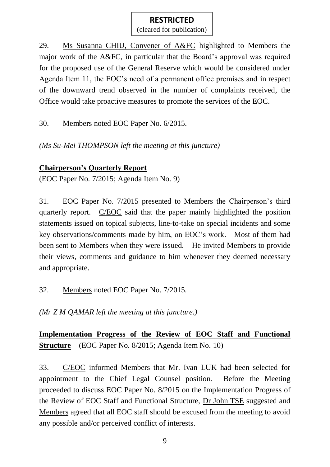(cleared for publication)

29. Ms Susanna CHIU, Convener of A&FC highlighted to Members the major work of the A&FC, in particular that the Board's approval was required for the proposed use of the General Reserve which would be considered under Agenda Item 11, the EOC's need of a permanent office premises and in respect of the downward trend observed in the number of complaints received, the Office would take proactive measures to promote the services of the EOC.

30. Members noted EOC Paper No. 6/2015.

*(Ms Su-Mei THOMPSON left the meeting at this juncture)*

### **Chairperson's Quarterly Report**

(EOC Paper No. 7/2015; Agenda Item No. 9)

31. EOC Paper No. 7/2015 presented to Members the Chairperson's third quarterly report. C/EOC said that the paper mainly highlighted the position statements issued on topical subjects, line-to-take on special incidents and some key observations/comments made by him, on EOC's work. Most of them had been sent to Members when they were issued. He invited Members to provide their views, comments and guidance to him whenever they deemed necessary and appropriate.

32. Members noted EOC Paper No. 7/2015.

*(Mr Z M QAMAR left the meeting at this juncture.)*

**Implementation Progress of the Review of EOC Staff and Functional Structure** (EOC Paper No. 8/2015; Agenda Item No. 10)

33. C/EOC informed Members that Mr. Ivan LUK had been selected for appointment to the Chief Legal Counsel position. Before the Meeting proceeded to discuss EOC Paper No. 8/2015 on the Implementation Progress of the Review of EOC Staff and Functional Structure, Dr John TSE suggested and Members agreed that all EOC staff should be excused from the meeting to avoid any possible and/or perceived conflict of interests.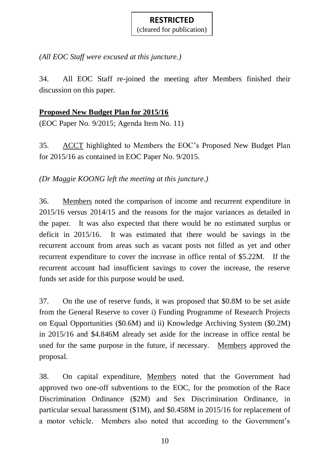(cleared for publication)

*(All EOC Staff were excused at this juncture.)*

34. All EOC Staff re-joined the meeting after Members finished their discussion on this paper.

## **Proposed New Budget Plan for 2015/16**

(EOC Paper No. 9/2015; Agenda Item No. 11)

35. ACCT highlighted to Members the EOC's Proposed New Budget Plan for 2015/16 as contained in EOC Paper No. 9/2015.

*(Dr Maggie KOONG left the meeting at this juncture.)*

36. Members noted the comparison of income and recurrent expenditure in 2015/16 versus 2014/15 and the reasons for the major variances as detailed in the paper. It was also expected that there would be no estimated surplus or deficit in 2015/16. It was estimated that there would be savings in the recurrent account from areas such as vacant posts not filled as yet and other recurrent expenditure to cover the increase in office rental of \$5.22M. If the recurrent account had insufficient savings to cover the increase, the reserve funds set aside for this purpose would be used.

37. On the use of reserve funds, it was proposed that \$0.8M to be set aside from the General Reserve to cover i) Funding Programme of Research Projects on Equal Opportunities (\$0.6M) and ii) Knowledge Archiving System (\$0.2M) in 2015/16 and \$4.846M already set aside for the increase in office rental be used for the same purpose in the future, if necessary. Members approved the proposal.

38. On capital expenditure, Members noted that the Government had approved two one-off subventions to the EOC, for the promotion of the Race Discrimination Ordinance (\$2M) and Sex Discrimination Ordinance, in particular sexual harassment (\$1M), and \$0.458M in 2015/16 for replacement of a motor vehicle. Members also noted that according to the Government's